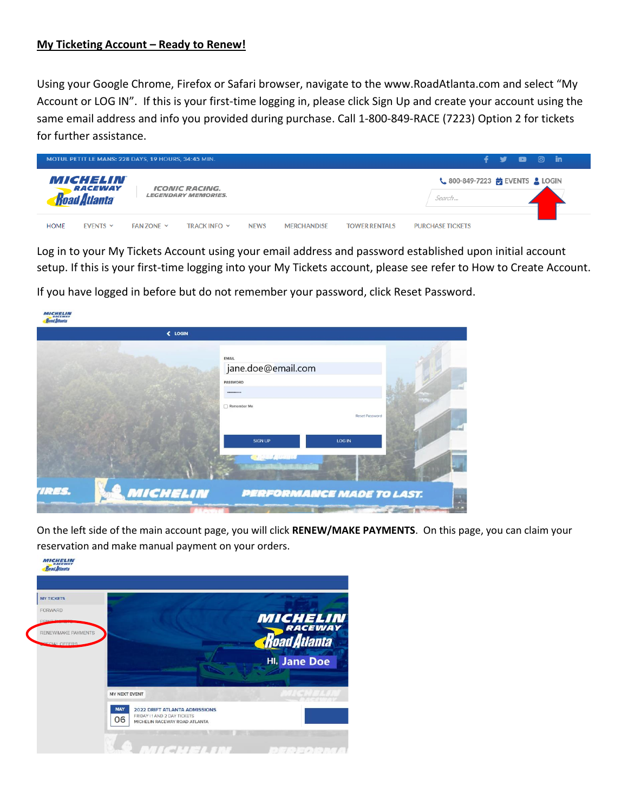#### **My Ticketing Account – Ready to Renew!**

Using your Google Chrome, Firefox or Safari browser, navigate to the www.RoadAtlanta.com and select "My Account or LOG IN". If this is your first-time logging in, please click Sign Up and create your account using the same email address and info you provided during purchase. Call 1-800-849-RACE (7223) Option 2 for tickets for further assistance.

| MOTUL PETIT LE MANS: 228 DAYS, 19 HOURS, 34:45 MIN. |                                                   |                   |                                                            |             |                    | - 97<br>÷            | $\bullet$                                                                      | $\circ$ in |  |  |
|-----------------------------------------------------|---------------------------------------------------|-------------------|------------------------------------------------------------|-------------|--------------------|----------------------|--------------------------------------------------------------------------------|------------|--|--|
|                                                     | MICHELIN<br>RACEWAY<br><b><i>Road Atlanta</i></b> |                   | <i><b>ICONIC RACING.</b></i><br><b>LEGENDARY MEMORIES.</b> |             |                    |                      | $\frac{1}{2}$ 800-849-7223 $\frac{1}{10}$ EVENTS $\frac{1}{2}$ LOGIN<br>Search |            |  |  |
| <b>HOME</b>                                         | <b>EVENTS <math>\vee</math></b>                   | $FAN$ 70NF $\sim$ | TRACK INFO Y                                               | <b>NEWS</b> | <b>MERCHANDISE</b> | <b>TOWER RENTALS</b> | <b>PURCHASE TICKETS</b>                                                        |            |  |  |

Log in to your My Tickets Account using your email address and password established upon initial account setup. If this is your first-time logging into your My Tickets account, please see refer to How to Create Account.

If you have logged in before but do not remember your password, click Reset Password.

|       | « LOGIN  |                    |                                  |  |
|-------|----------|--------------------|----------------------------------|--|
|       |          |                    |                                  |  |
|       |          | EMAIL              |                                  |  |
|       |          | jane.doe@email.com |                                  |  |
|       |          | <b>PASSWORD</b>    |                                  |  |
|       |          |                    |                                  |  |
|       |          | Remember Me        |                                  |  |
|       |          |                    | Reset Password                   |  |
|       |          |                    |                                  |  |
|       |          | <b>SIGN UP</b>     | LOG IN                           |  |
|       |          |                    |                                  |  |
|       |          |                    |                                  |  |
|       |          |                    |                                  |  |
|       |          |                    |                                  |  |
| TRES. | MICHELIN |                    | <b>PERFORMANCE MADE TO LAST.</b> |  |

On the left side of the main account page, you will click **RENEW/MAKE PAYMENTS**. On this page, you can claim your reservation and make manual payment on your orders.

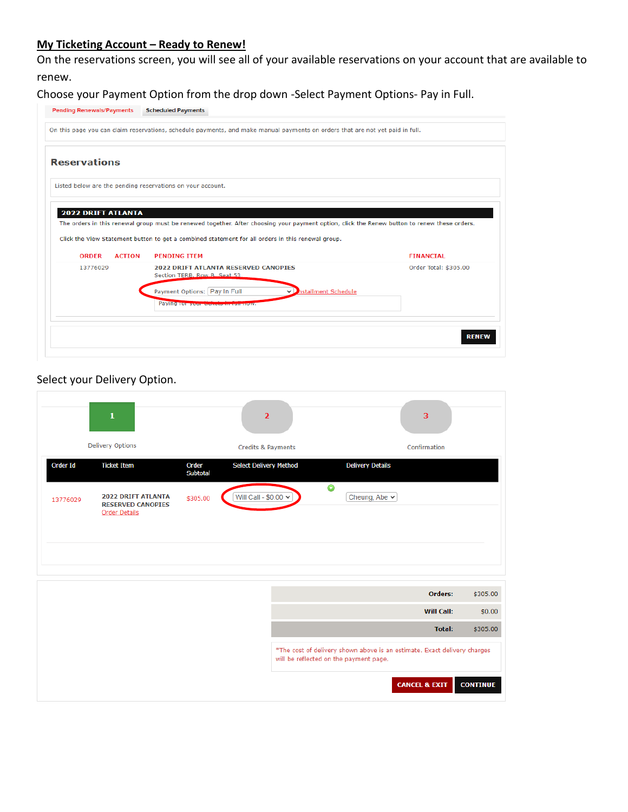# **My Ticketing Account – Ready to Renew!**

On the reservations screen, you will see all of your available reservations on your account that are available to renew.

Choose your Payment Option from the drop down -Select Payment Options- Pay in Full.

| <b>Pending Renewals/Payments</b> | <b>Scheduled Payments</b>                                                                                                                                                                                                                         |                       |
|----------------------------------|---------------------------------------------------------------------------------------------------------------------------------------------------------------------------------------------------------------------------------------------------|-----------------------|
|                                  | On this page you can claim reservations, schedule payments, and make manual payments on orders that are not yet paid in full.                                                                                                                     |                       |
| <b>Reservations</b>              |                                                                                                                                                                                                                                                   |                       |
|                                  | Listed below are the pending reservations on your account.                                                                                                                                                                                        |                       |
|                                  |                                                                                                                                                                                                                                                   |                       |
| <b>2022 DRIFT ATLANTA</b>        |                                                                                                                                                                                                                                                   |                       |
|                                  | The orders in this renewal group must be renewed together. After choosing your payment option, click the Renew button to renew these orders.<br>Click the View Statement button to get a combined statement for all orders in this renewal group. |                       |
| <b>ORDER</b><br><b>ACTION</b>    | <b>PENDING ITEM</b>                                                                                                                                                                                                                               | <b>FINANCIAL</b>      |
| 13776029                         | <b>2022 DRIFT ATLANTA RESERVED CANOPIES</b><br>Section TERB, Row B. Seat 53                                                                                                                                                                       | Order Total: \$305.00 |
|                                  | Payment Options: Pay In Full<br>hstallment Schedule                                                                                                                                                                                               |                       |
|                                  | Paying tor your stelled an remaindiv.                                                                                                                                                                                                             |                       |
|                                  |                                                                                                                                                                                                                                                   |                       |
|                                  |                                                                                                                                                                                                                                                   | <b>RENEW</b>          |

# Select your Delivery Option.

|                                | 3                 |                                                                                                                    | $\overline{2}$                |                          | 1                                                                             |          |
|--------------------------------|-------------------|--------------------------------------------------------------------------------------------------------------------|-------------------------------|--------------------------|-------------------------------------------------------------------------------|----------|
|                                | Confirmation      |                                                                                                                    | Credits & Payments            |                          | <b>Delivery Options</b>                                                       |          |
|                                |                   | <b>Delivery Details</b>                                                                                            | <b>Select Delivery Method</b> | Order<br><b>Subtotal</b> | <b>Ticket Item</b>                                                            | Order Id |
|                                |                   | $\bullet$<br>Cheung, Abe $\sim$                                                                                    | Will Call - \$0.00 V          | \$305.00                 | <b>2022 DRIFT ATLANTA</b><br><b>RESERVED CANOPIES</b><br><b>Order Details</b> | 13776029 |
|                                |                   |                                                                                                                    |                               |                          |                                                                               |          |
|                                | Orders:           |                                                                                                                    |                               |                          |                                                                               |          |
|                                | <b>Will Call:</b> |                                                                                                                    |                               |                          |                                                                               |          |
|                                | <b>Total:</b>     |                                                                                                                    |                               |                          |                                                                               |          |
| \$305.00<br>\$0.00<br>\$305.00 |                   | *The cost of delivery shown above is an estimate. Exact delivery charges<br>will be reflected on the payment page. |                               |                          |                                                                               |          |